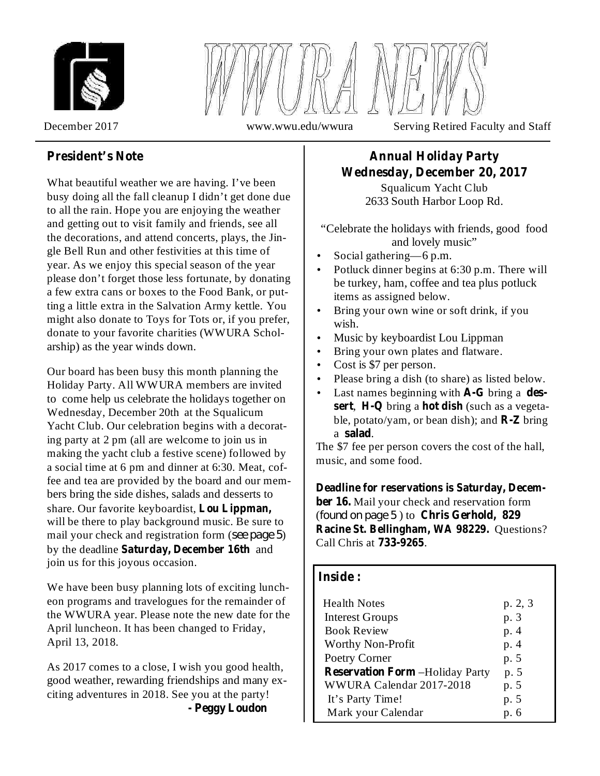



December 2017 www.wwu.edu/wwura Serving Retired Faculty and Staff

#### **President's Note**

What beautiful weather we are having. I've been busy doing all the fall cleanup I didn't get done due to all the rain. Hope you are enjoying the weather and getting out to visit family and friends, see all the decorations, and attend concerts, plays, the Jingle Bell Run and other festivities at this time of year. As we enjoy this special season of the year please don't forget those less fortunate, by donating a few extra cans or boxes to the Food Bank, or putting a little extra in the Salvation Army kettle. You might also donate to Toys for Tots or, if you prefer, donate to your favorite charities (WWURA Scholarship) as the year winds down.

Our board has been busy this month planning the Holiday Party. All WWURA members are invited to come help us celebrate the holidays together on Wednesday, December 20th at the Squalicum Yacht Club. Our celebration begins with a decorating party at 2 pm (all are welcome to join us in making the yacht club a festive scene) followed by a social time at 6 pm and dinner at 6:30. Meat, coffee and tea are provided by the board and our members bring the side dishes, salads and desserts to share. Our favorite keyboardist, **Lou Lippman,** will be there to play background music. Be sure to mail your check and registration form (see page 5) by the deadline Saturday, December 16th and join us for this joyous occasion.

We have been busy planning lots of exciting luncheon programs and travelogues for the remainder of the WWURA year. Please note the new date for the April luncheon. It has been changed to Friday, April 13, 2018.

As 2017 comes to a close, I wish you good health, good weather, rewarding friendships and many exciting adventures in 2018. See you at the party!

**- Peggy Loudon**

## **Annual Holiday Party Wednesday, December 20, 2017**

Squalicum Yacht Club 2633 South Harbor Loop Rd.

"Celebrate the holidays with friends, good food and lovely music"

- Social gathering—6 p.m. •
- Potluck dinner begins at 6:30 p.m. There will be turkey, ham, coffee and tea plus potluck items as assigned below. •
- Bring your own wine or soft drink, if you wish. •
- Music by keyboardist Lou Lippman •
- Bring your own plates and flatware. •
- Cost is \$7 per person. •
- Please bring a dish (to share) as listed below. •
- Last names beginning with **A-G** bring a dessert, H-Q bring a hot dish (such as a vegetable, potato/yam, or bean dish); and  $\mathbb{R}\text{-}\mathbb{Z}$  bring a salad. •

The \$7 fee per person covers the cost of the hall, music, and some food.

ber 16. Mail your check and reservation form (found on page 5) to Chris Gerhold, 829 **Racine St. Bellingham, WA 98229.** Questions? Call Chris at . **733-9265 Deadline for reservations is Saturday, Decem-**

#### **Inside :**

| <b>Health Notes</b>                    | p. 2, 3 |
|----------------------------------------|---------|
| <b>Interest Groups</b>                 | p. 3    |
| <b>Book Review</b>                     | p. 4    |
| <b>Worthy Non-Profit</b>               | p. 4    |
| Poetry Corner                          | p. 5    |
| <b>Reservation Form -Holiday Party</b> | p. 5    |
| WWURA Calendar 2017-2018               | p. 5    |
| It's Party Time!                       | p. 5    |
| Mark your Calendar                     | p. 6    |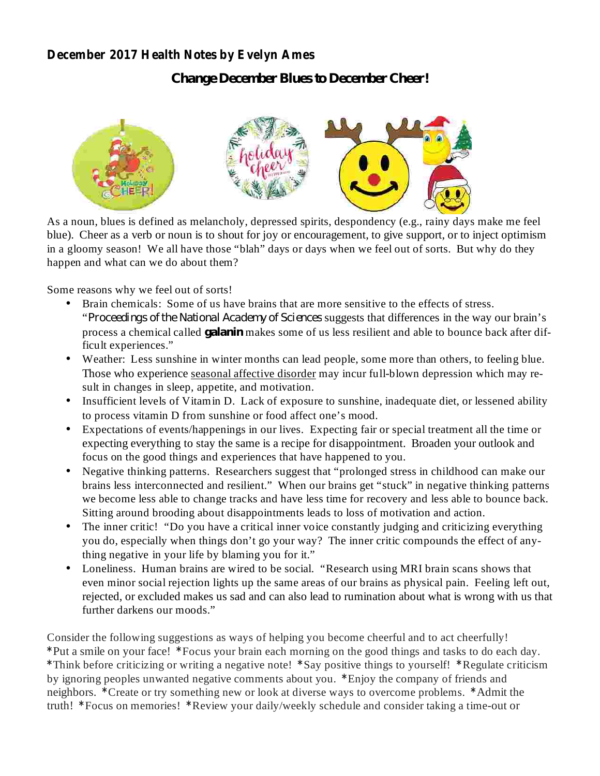#### **December 2017 Health Notes by Evelyn Ames**

*Change December Blues to December Cheer!*



As a noun, blues is defined as melancholy, depressed spirits, despondency (e.g., rainy days make me feel blue). Cheer as a verb or noun is to shout for joy or encouragement, to give support, or to inject optimism in a gloomy season! We all have those "blah" days or days when we feel out of sorts. But why do they happen and what can we do about them?

Some reasons why we feel out of sorts!

- process a chemical called *galanin* makes some of us less resilient and able to bounce back after dif-• Brain chemicals: Some of us have brains that are more sensitive to the effects of stress. "Proceedings of the National Academy of Sciences suggests that differences in the way our brain's ficult experiences."
- Weather: Less sunshine in winter months can lead people, some more than others, to feeling blue. Those who experience seasonal affective disorder may incur full-blown depression which may result in changes in sleep, appetite, and motivation.
- Insufficient levels of Vitamin D. Lack of exposure to sunshine, inadequate diet, or lessened ability to process vitamin D from sunshine or food affect one's mood.
- Expectations of events/happenings in our lives. Expecting fair or special treatment all the time or expecting everything to stay the same is a recipe for disappointment. Broaden your outlook and focus on the good things and experiences that have happened to you.
- Negative thinking patterns. Researchers suggest that "prolonged stress in childhood can make our brains less interconnected and resilient." When our brains get "stuck" in negative thinking patterns we become less able to change tracks and have less time for recovery and less able to bounce back. Sitting around brooding about disappointments leads to loss of motivation and action.
- The inner critic! "Do you have a critical inner voice constantly judging and criticizing everything you do, especially when things don't go your way? The inner critic compounds the effect of anything negative in your life by blaming you for it."
- Loneliness. Human brains are wired to be social. "Research using MRI brain scans shows that even minor social rejection lights up the same areas of our brains as physical pain. Feeling left out, rejected, or excluded makes us sad and can also lead to rumination about what is wrong with us that further darkens our moods."

**\* \*** Put a smile on your face! Focus your brain each morning on the good things and tasks to do each day. \*Think before criticizing or writing a negative note! \*Say positive things to yourself! \*Regulate criticism by ignoring peoples unwanted negative comments about you. \*Enjoy the company of friends and neighbors. \* Create or try something new or look at diverse ways to overcome problems. \* Admit the truth! \*Focus on memories! \*Review your daily/weekly schedule and consider taking a time-out or Consider the following suggestions as ways of helping you become cheerful and to act cheerfully!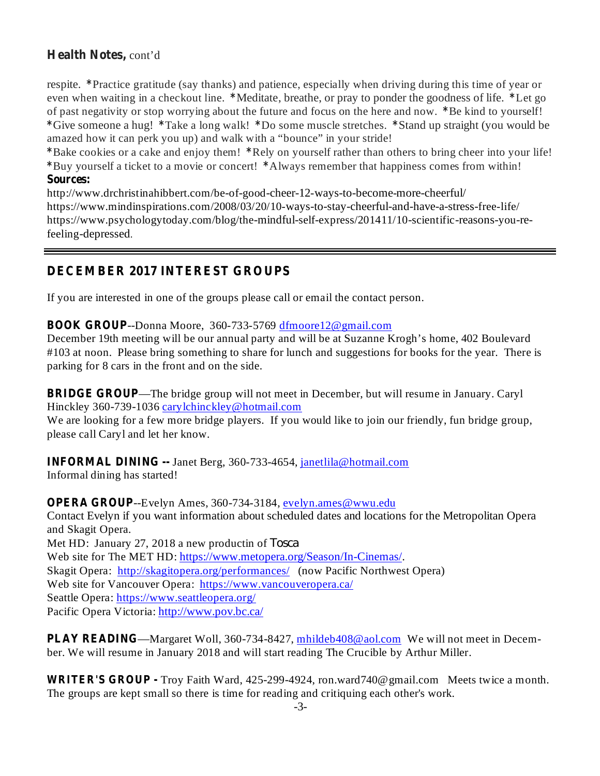### **Health Notes,** cont'd

respite. \*Practice gratitude (say thanks) and patience, especially when driving during this time of year or even when waiting in a checkout line. \*Meditate, breathe, or pray to ponder the goodness of life. \*Let go of past negativity or stop worrying about the future and focus on the here and now. \*Be kind to yourself! \*Give someone a hug! \*Take a long walk! \*Do some muscle stretches. \*Stand up straight (you would be amazed how it can perk you up) and walk with a "bounce" in your stride!

**\* \*** Bake cookies or a cake and enjoy them! Rely on yourself rather than others to bring cheer into your life! **\* \*** Buy yourself a ticket to a movie or concert! Always remember that happiness comes from within! **Sources:**

http://www.drchristinahibbert.com/be-of-good-cheer-12-ways-to-become-more-cheerful/ https://www.mindinspirations.com/2008/03/20/10-ways-to-stay-cheerful-and-have-a-stress-free-life/ https://www.psychologytoday.com/blog/the-mindful-self-express/201411/10-scientific-reasons-you-refeeling-depressed.

### **DECEMBER 2017 INTEREST GROUPS**

If you are interested in one of the groups please call or email the contact person.

**BOOK GROUP** --Donna Moore, 360-733-5769 dfmoore12@gmail.com

December 19th meeting will be our annual party and will be at Suzanne Krogh's home, 402 Boulevard #103 at noon. Please bring something to share for lunch and suggestions for books for the year. There is parking for 8 cars in the front and on the side.

**BRIDGE GROUP** —The bridge group will not meet in December, but will resume in January. Caryl Hinckley 360-739-1036 carylchinckley@hotmail.com

We are looking for a few more bridge players. If you would like to join our friendly, fun bridge group, please call Caryl and let her know.

**INFORMAL DINING --** Janet Berg, 360-733-4654, janetlila@hotmail.com Informal dining has started!

**OPERA GROUP**--Evelyn Ames, 360-734-3184, evelyn.ames@wwu.edu Contact Evelyn if you want information about scheduled dates and locations for the Metropolitan Opera and Skagit Opera. Met HD: January 27, 2018 a new productin of *Tosca*Web site for The MET HD: https://www.metopera.org/Season/In-Cinemas/. Skagit Opera: http://skagitopera.org/performances/ (now Pacific Northwest Opera) Web site for Vancouver Opera: https://www.vancouveropera.ca/ Seattle Opera: https://www.seattleopera.org/ Pacific Opera Victoria: http://www.pov.bc.ca/

**PLAY READING**—Margaret Woll, 360-734-8427, mhildeb408@aol.com We will not meet in December. We will resume in January 2018 and will start reading The Crucible by Arthur Miller.

**WRITER'S GROUP -** Troy Faith Ward, 425-299-4924, ron.ward740@gmail.com Meets twice a month. The groups are kept small so there is time for reading and critiquing each other's work.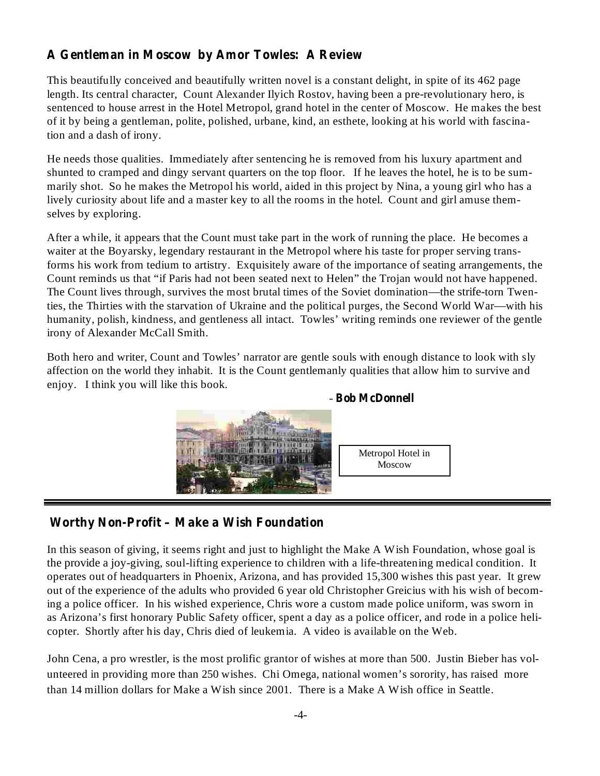### **A Gentleman in Moscow by Amor Towles: A Review**

This beautifully conceived and beautifully written novel is a constant delight, in spite of its 462 page length. Its central character, Count Alexander Ilyich Rostov, having been a pre-revolutionary hero, is sentenced to house arrest in the Hotel Metropol, grand hotel in the center of Moscow. He makes the best of it by being a gentleman, polite, polished, urbane, kind, an esthete, looking at his world with fascination and a dash of irony.

He needs those qualities. Immediately after sentencing he is removed from his luxury apartment and shunted to cramped and dingy servant quarters on the top floor. If he leaves the hotel, he is to be summarily shot. So he makes the Metropol his world, aided in this project by Nina, a young girl who has a lively curiosity about life and a master key to all the rooms in the hotel. Count and girl amuse themselves by exploring.

After a while, it appears that the Count must take part in the work of running the place. He becomes a waiter at the Boyarsky, legendary restaurant in the Metropol where his taste for proper serving transforms his work from tedium to artistry. Exquisitely aware of the importance of seating arrangements, the Count reminds us that "if Paris had not been seated next to Helen" the Trojan would not have happened. The Count lives through, survives the most brutal times of the Soviet domination—the strife-torn Twenties, the Thirties with the starvation of Ukraine and the political purges, the Second World War—with his humanity, polish, kindness, and gentleness all intact. Towles' writing reminds one reviewer of the gentle irony of Alexander McCall Smith.

Both hero and writer, Count and Towles' narrator are gentle souls with enough distance to look with sly affection on the world they inhabit. It is the Count gentlemanly qualities that allow him to survive and enjoy. I think you will like this book.



#### **Bob McDonnell** -

#### **Worthy Non-Profit – Make a Wish Foundation**

In this season of giving, it seems right and just to highlight the Make A Wish Foundation, whose goal is the provide a joy-giving, soul-lifting experience to children with a life-threatening medical condition. It operates out of headquarters in Phoenix, Arizona, and has provided 15,300 wishes this past year. It grew out of the experience of the adults who provided 6 year old Christopher Greicius with his wish of becoming a police officer. In his wished experience, Chris wore a custom made police uniform, was sworn in as Arizona's first honorary Public Safety officer, spent a day as a police officer, and rode in a police helicopter. Shortly after his day, Chris died of leukemia. A video is available on the Web.

John Cena, a pro wrestler, is the most prolific grantor of wishes at more than 500. Justin Bieber has volunteered in providing more than 250 wishes. Chi Omega, national women's sorority, has raised more than 14 million dollars for Make a Wish since 2001. There is a Make A Wish office in Seattle.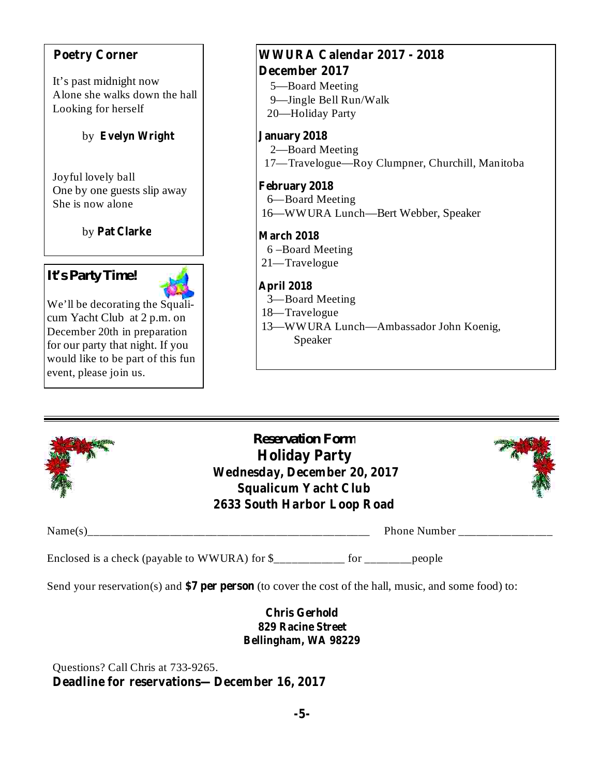#### **Poetry Corner**

It's past midnight now Alone she walks down the hall Looking for herself

#### **Evelyn Wright** by

Joyful lovely ball One by one guests slip away She is now alone

**Pat Clarke** by

# *It's Party Time!*



We'll be decorating the Squalicum Yacht Club at 2 p.m. on December 20th in preparation for our party that night. If you would like to be part of this fun event, please join us.

# **WWURA Calendar 2017 - 2018 December 2017**

- 5—Board Meeting
- 9—Jingle Bell Run/Walk 20—Holiday Party

### **January 2018**

2—Board Meeting 17—Travelogue—Roy Clumpner, Churchill, Manitoba

**February 2018** 6—Board Meeting

16—WWURA Lunch—Bert Webber, Speaker

**March 2018**

- 6 –Board Meeting
- 21—Travelogue

### **April 2018**

- 3—Board Meeting
- 18—Travelogue
- 13—WWURA Lunch—Ambassador John Koenig, Speaker



*Reservation Form* **Holiday Party Wednesday, December 20, 2017 Squalicum Yacht Club 2633 South Harbor Loop Road**



Name(s)\_\_\_\_\_\_\_\_\_\_\_\_\_\_\_\_\_\_\_\_\_\_\_\_\_\_\_\_\_\_\_\_\_\_\_\_\_\_\_\_\_\_\_\_\_\_\_\_ Phone Number \_\_\_\_\_\_\_\_\_\_\_\_\_\_\_\_

Enclosed is a check (payable to WWURA) for \$\_\_\_\_\_\_\_\_\_\_\_\_ for \_\_\_\_\_\_\_\_people

Send your reservation(s) and \$7 per person (to cover the cost of the hall, music, and some food) to:

#### **Chris Gerhold 829 Racine Street Bellingham, WA 98229**

**Deadline for reservations—December 16, 2017** Questions? Call Chris at 733-9265.